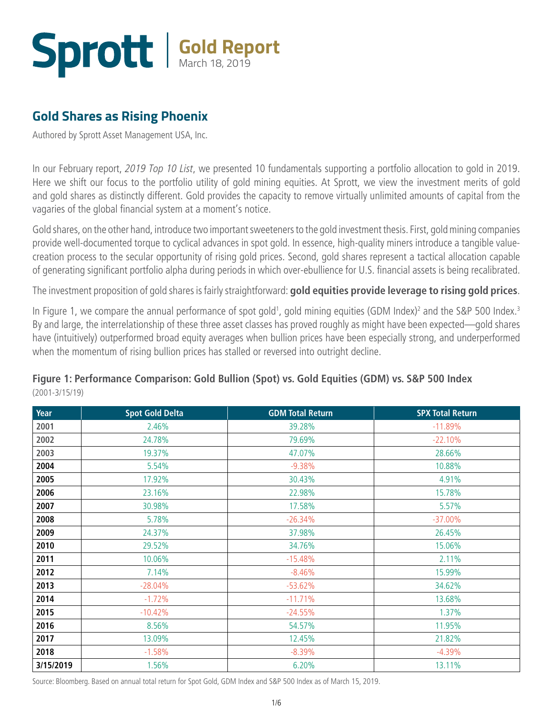## **Gold Report** March 18, 2019

### **[Gold Shares as Rising Phoenix](http://www.sprott.com/insights/gold-shares-as-rising-phoenix/)**

Authored by Sprott Asset Management USA, Inc.

In our February report, *[2019 Top 10 List](http://www.sprott.com/insights/2019-top-10-list/)*, we presented 10 fundamentals supporting a portfolio allocation to gold in 2019. Here we shift our focus to the portfolio utility of gold mining equities. At Sprott, we view the investment merits of gold and gold shares as distinctly different. Gold provides the capacity to remove virtually unlimited amounts of capital from the vagaries of the global financial system at a moment's notice.

Gold shares, on the other hand, introduce two important sweeteners to the gold investment thesis. First, gold mining companies provide well-documented torque to cyclical advances in spot gold. In essence, high-quality miners introduce a tangible valuecreation process to the secular opportunity of rising gold prices. Second, gold shares represent a tactical allocation capable of generating significant portfolio alpha during periods in which over-ebullience for U.S. financial assets is being recalibrated.

The investment proposition of gold shares is fairly straightforward: **gold equities provide leverage to rising gold prices**.

In Figure 1, we compare the annual performance of spot gold<sup>1</sup>, gold mining equities (GDM Index)<sup>2</sup> and the S&P 500 Index.<sup>3</sup> By and large, the interrelationship of these three asset classes has proved roughly as might have been expected—gold shares have (intuitively) outperformed broad equity averages when bullion prices have been especially strong, and underperformed when the momentum of rising bullion prices has stalled or reversed into outright decline.

| Year      | <b>Spot Gold Delta</b> | <b>GDM Total Return</b> | <b>SPX Total Return</b> |
|-----------|------------------------|-------------------------|-------------------------|
| 2001      | 2.46%                  | 39.28%                  | $-11.89%$               |
| 2002      | 24.78%                 | 79.69%                  | $-22.10%$               |
| 2003      | 19.37%                 | 47.07%                  | 28.66%                  |
| 2004      | 5.54%                  | $-9.38%$                | 10.88%                  |
| 2005      | 17.92%                 | 30.43%                  | 4.91%                   |
| 2006      | 23.16%                 | 22.98%                  | 15.78%                  |
| 2007      | 30.98%                 | 17.58%                  | 5.57%                   |
| 2008      | 5.78%                  | $-26.34%$               | $-37.00\%$              |
| 2009      | 24.37%                 | 37.98%                  | 26.45%                  |
| 2010      | 29.52%                 | 34.76%                  | 15.06%                  |
| 2011      | 10.06%                 | $-15.48%$               | 2.11%                   |
| 2012      | 7.14%                  | $-8.46%$                | 15.99%                  |
| 2013      | $-28.04%$              | $-53.62%$               | 34.62%                  |
| 2014      | $-1.72%$               | $-11.71%$               | 13.68%                  |
| 2015      | $-10.42%$              | $-24.55%$               | 1.37%                   |
| 2016      | 8.56%                  | 54.57%                  | 11.95%                  |
| 2017      | 13.09%                 | 12.45%                  | 21.82%                  |
| 2018      | $-1.58%$               | $-8.39%$                | $-4.39%$                |
| 3/15/2019 | 1.56%                  | 6.20%                   | 13.11%                  |

**Figure 1: Performance Comparison: Gold Bullion (Spot) vs. Gold Equities (GDM) vs. S&P 500 Index**  (2001-3/15/19)

Source: Bloomberg. Based on annual total return for Spot Gold, GDM Index and S&P 500 Index as of March 15, 2019.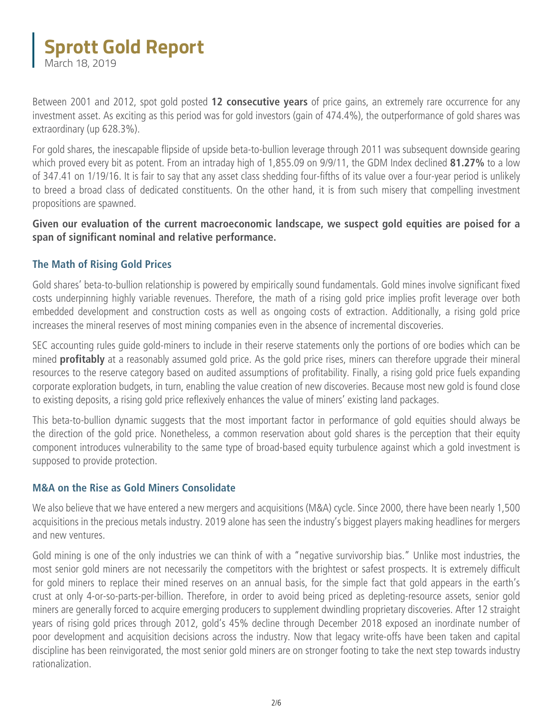Between 2001 and 2012, spot gold posted **12 consecutive years** of price gains, an extremely rare occurrence for any investment asset. As exciting as this period was for gold investors (gain of 474.4%), the outperformance of gold shares was extraordinary (up 628.3%).

For gold shares, the inescapable flipside of upside beta-to-bullion leverage through 2011 was subsequent downside gearing which proved every bit as potent. From an intraday high of 1,855.09 on 9/9/11, the GDM Index declined **81.27%** to a low of 347.41 on 1/19/16. It is fair to say that any asset class shedding four-fifths of its value over a four-year period is unlikely to breed a broad class of dedicated constituents. On the other hand, it is from such misery that compelling investment propositions are spawned.

**Given our evaluation of the current macroeconomic landscape, we suspect gold equities are poised for a span of significant nominal and relative performance.**

#### **The Math of Rising Gold Prices**

Gold shares' beta-to-bullion relationship is powered by empirically sound fundamentals. Gold mines involve significant fixed costs underpinning highly variable revenues. Therefore, the math of a rising gold price implies profit leverage over both embedded development and construction costs as well as ongoing costs of extraction. Additionally, a rising gold price increases the mineral reserves of most mining companies even in the absence of incremental discoveries.

SEC accounting rules guide gold-miners to include in their reserve statements only the portions of ore bodies which can be mined **profitably** at a reasonably assumed gold price. As the gold price rises, miners can therefore upgrade their mineral resources to the reserve category based on audited assumptions of profitability. Finally, a rising gold price fuels expanding corporate exploration budgets, in turn, enabling the value creation of new discoveries. Because most new gold is found close to existing deposits, a rising gold price reflexively enhances the value of miners' existing land packages.

This beta-to-bullion dynamic suggests that the most important factor in performance of gold equities should always be the direction of the gold price. Nonetheless, a common reservation about gold shares is the perception that their equity component introduces vulnerability to the same type of broad-based equity turbulence against which a gold investment is supposed to provide protection.

#### **M&A on the Rise as Gold Miners Consolidate**

We also believe that we have entered a new mergers and acquisitions (M&A) cycle. Since 2000, there have been nearly 1,500 acquisitions in the precious metals industry. 2019 alone has seen the industry's biggest players making headlines for mergers and new ventures.

Gold mining is one of the only industries we can think of with a "negative survivorship bias." Unlike most industries, the most senior gold miners are not necessarily the competitors with the brightest or safest prospects. It is extremely difficult for gold miners to replace their mined reserves on an annual basis, for the simple fact that gold appears in the earth's crust at only 4-or-so-parts-per-billion. Therefore, in order to avoid being priced as depleting-resource assets, senior gold miners are generally forced to acquire emerging producers to supplement dwindling proprietary discoveries. After 12 straight years of rising gold prices through 2012, gold's 45% decline through December 2018 exposed an inordinate number of poor development and acquisition decisions across the industry. Now that legacy write-offs have been taken and capital discipline has been reinvigorated, the most senior gold miners are on stronger footing to take the next step towards industry rationalization.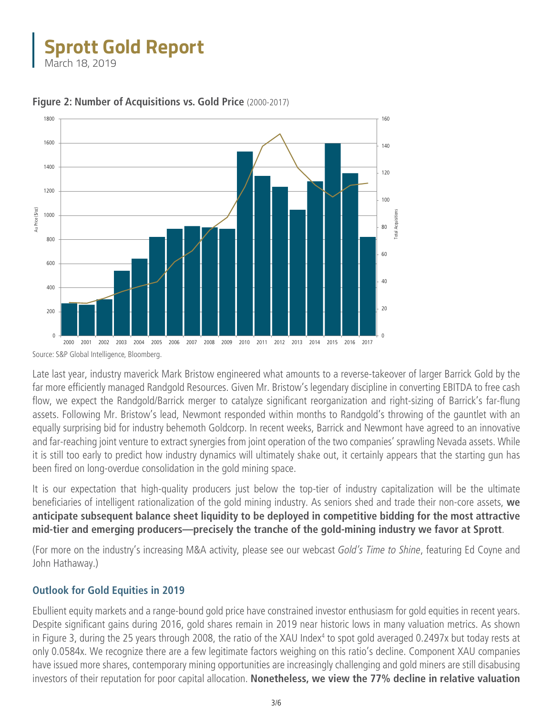

**Figure 2: Number of Acquisitions vs. Gold Price** (2000-2017)

Source: S&P Global Intelligence, Bloomberg.

Late last year, industry maverick Mark Bristow engineered what amounts to a reverse-takeover of larger Barrick Gold by the far more efficiently managed Randgold Resources. Given Mr. Bristow's legendary discipline in converting EBITDA to free cash flow, we expect the Randgold/Barrick merger to catalyze significant reorganization and right-sizing of Barrick's far-flung assets. Following Mr. Bristow's lead, Newmont responded within months to Randgold's throwing of the gauntlet with an equally surprising bid for industry behemoth Goldcorp. In recent weeks, Barrick and Newmont have agreed to an innovative and far-reaching joint venture to extract synergies from joint operation of the two companies' sprawling Nevada assets. While it is still too early to predict how industry dynamics will ultimately shake out, it certainly appears that the starting gun has been fired on long-overdue consolidation in the gold mining space.

It is our expectation that high-quality producers just below the top-tier of industry capitalization will be the ultimate beneficiaries of intelligent rationalization of the gold mining industry. As seniors shed and trade their non-core assets, **we anticipate subsequent balance sheet liquidity to be deployed in competitive bidding for the most attractive mid-tier and emerging producers—precisely the tranche of the gold-mining industry we favor at Sprott**.

(For more on the industry's increasing M&A activity, [please see our webcast](http://www.sprott.com/insights/video-golds-time-to-shine/) *Gold's Time to Shine*, featuring Ed Coyne and John Hathaway.)

#### **Outlook for Gold Equities in 2019**

Ebullient equity markets and a range-bound gold price have constrained investor enthusiasm for gold equities in recent years. Despite significant gains during 2016, gold shares remain in 2019 near historic lows in many valuation metrics. As shown in Figure 3, during the 25 years through 2008, the ratio of the XAU Index<sup>4</sup> to spot gold averaged 0.2497x but today rests at only 0.0584x. We recognize there are a few legitimate factors weighing on this ratio's decline. Component XAU companies have issued more shares, contemporary mining opportunities are increasingly challenging and gold miners are still disabusing investors of their reputation for poor capital allocation. **Nonetheless, we view the 77% decline in relative valuation**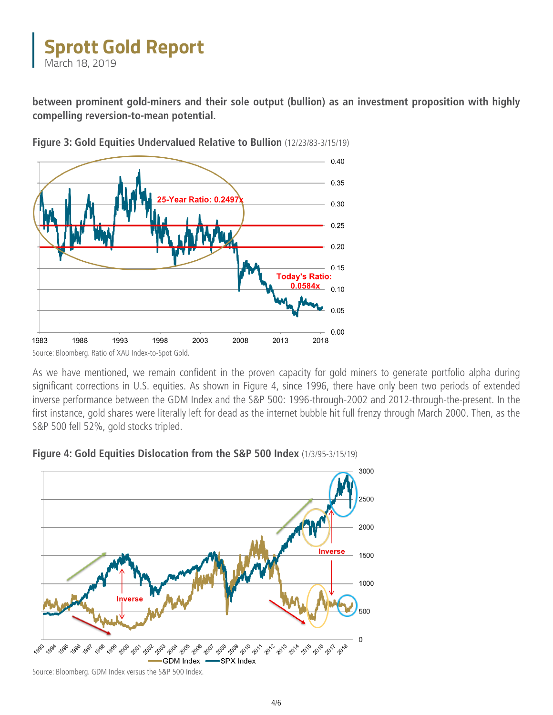**between prominent gold-miners and their sole output (bullion) as an investment proposition with highly compelling reversion-to-mean potential.**



**Figure 3: Gold Equities Undervalued Relative to Bullion** (12/23/83-3/15/19)

As we have mentioned, we remain confident in the proven capacity for gold miners to generate portfolio alpha during significant corrections in U.S. equities. As shown in Figure 4, since 1996, there have only been two periods of extended inverse performance between the GDM Index and the S&P 500: 1996-through-2002 and 2012-through-the-present. In the first instance, gold shares were literally left for dead as the internet bubble hit full frenzy through March 2000. Then, as the S&P 500 fell 52%, gold stocks tripled.



#### **Figure 4: Gold Equities Dislocation from the S&P 500 Index** (1/3/95-3/15/19)

Source: Bloomberg. Ratio of XAU Index-to-Spot Gold.

Source: Bloomberg. GDM Index versus the S&P 500 Index.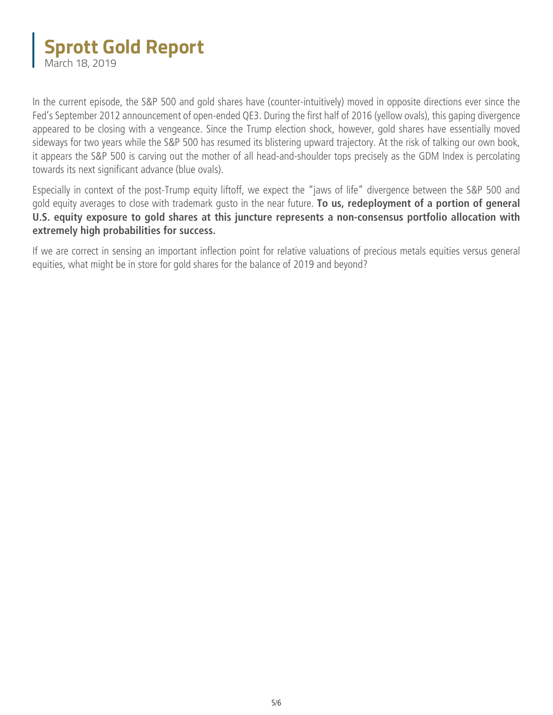In the current episode, the S&P 500 and gold shares have (counter-intuitively) moved in opposite directions ever since the Fed's September 2012 announcement of open-ended QE3. During the first half of 2016 (yellow ovals), this gaping divergence appeared to be closing with a vengeance. Since the Trump election shock, however, gold shares have essentially moved sideways for two years while the S&P 500 has resumed its blistering upward trajectory. At the risk of talking our own book, it appears the S&P 500 is carving out the mother of all head-and-shoulder tops precisely as the GDM Index is percolating towards its next significant advance (blue ovals).

Especially in context of the post-Trump equity liftoff, we expect the "jaws of life" divergence between the S&P 500 and gold equity averages to close with trademark gusto in the near future. **To us, redeployment of a portion of general U.S. equity exposure to gold shares at this juncture represents a non-consensus portfolio allocation with extremely high probabilities for success.**

If we are correct in sensing an important inflection point for relative valuations of precious metals equities versus general equities, what might be in store for gold shares for the balance of 2019 and beyond?